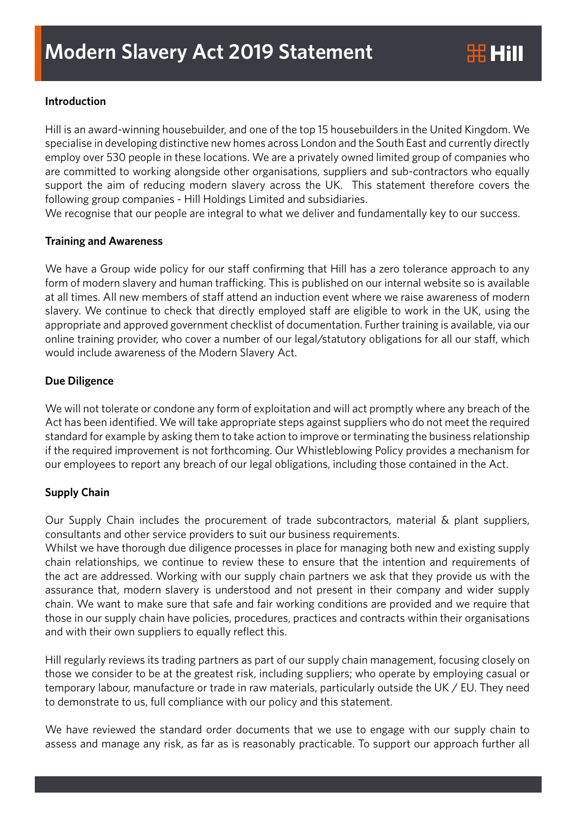# **Introduction**

Hill is an award-winning housebuilder, and one of the top 15 housebuilders in the United Kingdom. We specialise in developing distinctive new homes across London and the South East and currently directly employ over 530 people in these locations. We are a privately owned limited group of companies who are committed to working alongside other organisations, suppliers and sub-contractors who equally support the aim of reducing modern slavery across the UK. This statement therefore covers the following group companies - Hill Holdings Limited and subsidiaries.

We recognise that our people are integral to what we deliver and fundamentally key to our success.

### **Training and Awareness**

We have a Group wide policy for our staff confirming that Hill has a zero tolerance approach to any form of modern slavery and human trafficking. This is published on our internal website so is available at all times. All new members of staff attend an induction event where we raise awareness of modern slavery. We continue to check that directly employed staff are eligible to work in the UK, using the appropriate and approved government checklist of documentation. Further training is available, via our online training provider, who cover a number of our legal/statutory obligations for all our staff, which would include awareness of the Modern Slavery Act.

## **Due Diligence**

We will not tolerate or condone any form of exploitation and will act promptly where any breach of the Act has been identified. We will take appropriate steps against suppliers who do not meet the required standard for example by asking them to take action to improve or terminating the business relationship if the required improvement is not forthcoming. Our Whistleblowing Policy provides a mechanism for our employees to report any breach of our legal obligations, including those contained in the Act.

### **Supply Chain**

Our Supply Chain includes the procurement of trade subcontractors, material & plant suppliers, consultants and other service providers to suit our business requirements.

Whilst we have thorough due diligence processes in place for managing both new and existing supply chain relationships, we continue to review these to ensure that the intention and requirements of the act are addressed. Working with our supply chain partners we ask that they provide us with the assurance that, modern slavery is understood and not present in their company and wider supply chain. We want to make sure that safe and fair working conditions are provided and we require that those in our supply chain have policies, procedures, practices and contracts within their organisations and with their own suppliers to equally reflect this.

Hill regularly reviews its trading partners as part of our supply chain management, focusing closely on those we consider to be at the greatest risk, including suppliers; who operate by employing casual or temporary labour, manufacture or trade in raw materials, particularly outside the UK / EU. They need to demonstrate to us, full compliance with our policy and this statement.

We have reviewed the standard order documents that we use to engage with our supply chain to assess and manage any risk, as far as is reasonably practicable. To support our approach further all